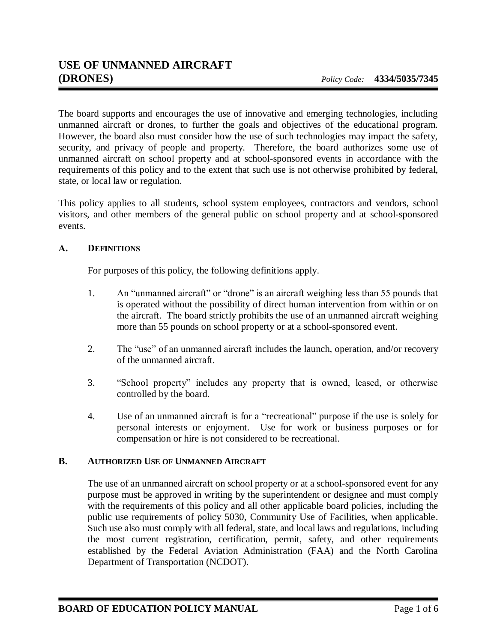The board supports and encourages the use of innovative and emerging technologies, including unmanned aircraft or drones, to further the goals and objectives of the educational program. However, the board also must consider how the use of such technologies may impact the safety, security, and privacy of people and property. Therefore, the board authorizes some use of unmanned aircraft on school property and at school-sponsored events in accordance with the requirements of this policy and to the extent that such use is not otherwise prohibited by federal, state, or local law or regulation.

This policy applies to all students, school system employees, contractors and vendors, school visitors, and other members of the general public on school property and at school-sponsored events.

## **A. DEFINITIONS**

For purposes of this policy, the following definitions apply.

- 1. An "unmanned aircraft" or "drone" is an aircraft weighing less than 55 pounds that is operated without the possibility of direct human intervention from within or on the aircraft. The board strictly prohibits the use of an unmanned aircraft weighing more than 55 pounds on school property or at a school-sponsored event.
- 2. The "use" of an unmanned aircraft includes the launch, operation, and/or recovery of the unmanned aircraft.
- 3. "School property" includes any property that is owned, leased, or otherwise controlled by the board.
- 4. Use of an unmanned aircraft is for a "recreational" purpose if the use is solely for personal interests or enjoyment. Use for work or business purposes or for compensation or hire is not considered to be recreational.

## **B. AUTHORIZED USE OF UNMANNED AIRCRAFT**

The use of an unmanned aircraft on school property or at a school-sponsored event for any purpose must be approved in writing by the superintendent or designee and must comply with the requirements of this policy and all other applicable board policies, including the public use requirements of policy 5030, Community Use of Facilities, when applicable. Such use also must comply with all federal, state, and local laws and regulations, including the most current registration, certification, permit, safety, and other requirements established by the Federal Aviation Administration (FAA) and the North Carolina Department of Transportation (NCDOT).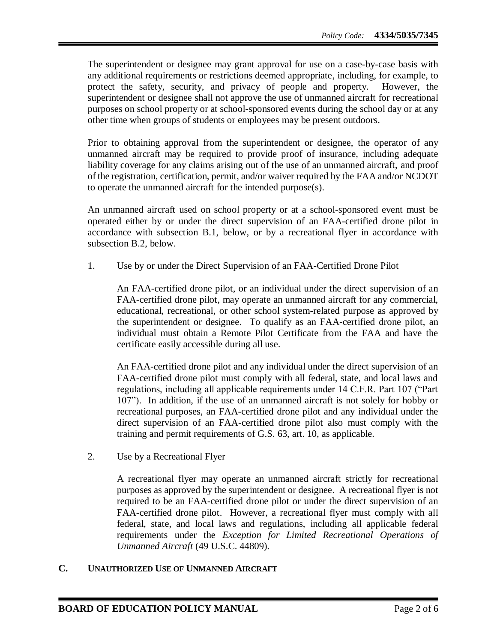The superintendent or designee may grant approval for use on a case-by-case basis with any additional requirements or restrictions deemed appropriate, including, for example, to protect the safety, security, and privacy of people and property. However, the superintendent or designee shall not approve the use of unmanned aircraft for recreational purposes on school property or at school-sponsored events during the school day or at any other time when groups of students or employees may be present outdoors.

Prior to obtaining approval from the superintendent or designee, the operator of any unmanned aircraft may be required to provide proof of insurance, including adequate liability coverage for any claims arising out of the use of an unmanned aircraft, and proof of the registration, certification, permit, and/or waiver required by the FAA and/or NCDOT to operate the unmanned aircraft for the intended purpose(s).

An unmanned aircraft used on school property or at a school-sponsored event must be operated either by or under the direct supervision of an FAA-certified drone pilot in accordance with subsection B.1, below, or by a recreational flyer in accordance with subsection B.2, below.

1. Use by or under the Direct Supervision of an FAA-Certified Drone Pilot

An FAA-certified drone pilot, or an individual under the direct supervision of an FAA-certified drone pilot, may operate an unmanned aircraft for any commercial, educational, recreational, or other school system-related purpose as approved by the superintendent or designee. To qualify as an FAA-certified drone pilot, an individual must obtain a Remote Pilot Certificate from the FAA and have the certificate easily accessible during all use.

An FAA-certified drone pilot and any individual under the direct supervision of an FAA-certified drone pilot must comply with all federal, state, and local laws and regulations, including all applicable requirements under 14 C.F.R. Part 107 ("Part 107"). In addition, if the use of an unmanned aircraft is not solely for hobby or recreational purposes, an FAA-certified drone pilot and any individual under the direct supervision of an FAA-certified drone pilot also must comply with the training and permit requirements of G.S. 63, art. 10, as applicable.

2. Use by a Recreational Flyer

A recreational flyer may operate an unmanned aircraft strictly for recreational purposes as approved by the superintendent or designee. A recreational flyer is not required to be an FAA-certified drone pilot or under the direct supervision of an FAA-certified drone pilot. However, a recreational flyer must comply with all federal, state, and local laws and regulations, including all applicable federal requirements under the *Exception for Limited Recreational Operations of Unmanned Aircraft* (49 U.S.C. 44809).

## **C. UNAUTHORIZED USE OF UNMANNED AIRCRAFT**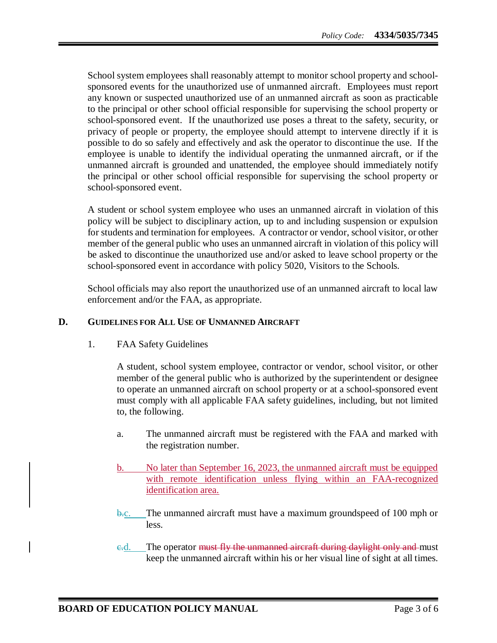School system employees shall reasonably attempt to monitor school property and schoolsponsored events for the unauthorized use of unmanned aircraft. Employees must report any known or suspected unauthorized use of an unmanned aircraft as soon as practicable to the principal or other school official responsible for supervising the school property or school-sponsored event. If the unauthorized use poses a threat to the safety, security, or privacy of people or property, the employee should attempt to intervene directly if it is possible to do so safely and effectively and ask the operator to discontinue the use. If the employee is unable to identify the individual operating the unmanned aircraft, or if the unmanned aircraft is grounded and unattended, the employee should immediately notify the principal or other school official responsible for supervising the school property or school-sponsored event.

A student or school system employee who uses an unmanned aircraft in violation of this policy will be subject to disciplinary action, up to and including suspension or expulsion for students and termination for employees. A contractor or vendor, school visitor, or other member of the general public who uses an unmanned aircraft in violation of this policy will be asked to discontinue the unauthorized use and/or asked to leave school property or the school-sponsored event in accordance with policy 5020, Visitors to the Schools.

School officials may also report the unauthorized use of an unmanned aircraft to local law enforcement and/or the FAA, as appropriate.

## **D. GUIDELINES FOR ALL USE OF UNMANNED AIRCRAFT**

1. FAA Safety Guidelines

A student, school system employee, contractor or vendor, school visitor, or other member of the general public who is authorized by the superintendent or designee to operate an unmanned aircraft on school property or at a school-sponsored event must comply with all applicable FAA safety guidelines, including, but not limited to, the following.

- a. The unmanned aircraft must be registered with the FAA and marked with the registration number.
- b. No later than September 16, 2023, the unmanned aircraft must be equipped with remote identification unless flying within an FAA-recognized identification area.
- b.c. The unmanned aircraft must have a maximum groundspeed of 100 mph or less.
- e.d. The operator must fly the unmanned aircraft during daylight only and must keep the unmanned aircraft within his or her visual line of sight at all times.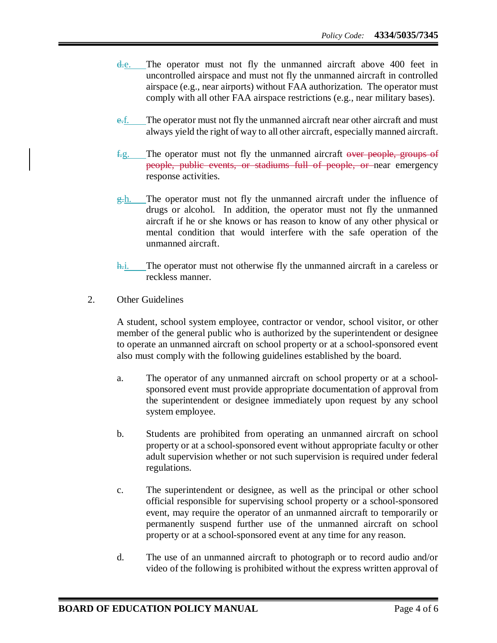- d.e. The operator must not fly the unmanned aircraft above 400 feet in uncontrolled airspace and must not fly the unmanned aircraft in controlled airspace (e.g., near airports) without FAA authorization. The operator must comply with all other FAA airspace restrictions (e.g., near military bases).
- e.f. The operator must not fly the unmanned aircraft near other aircraft and must always yield the right of way to all other aircraft, especially manned aircraft.
- f.g. The operator must not fly the unmanned aircraft over people, groups of people, public events, or stadiums full of people, or near emergency response activities.
- $g-h$ . The operator must not fly the unmanned aircraft under the influence of drugs or alcohol. In addition, the operator must not fly the unmanned aircraft if he or she knows or has reason to know of any other physical or mental condition that would interfere with the safe operation of the unmanned aircraft.
- h.i. The operator must not otherwise fly the unmanned aircraft in a careless or reckless manner.
- 2. Other Guidelines

A student, school system employee, contractor or vendor, school visitor, or other member of the general public who is authorized by the superintendent or designee to operate an unmanned aircraft on school property or at a school-sponsored event also must comply with the following guidelines established by the board.

- a. The operator of any unmanned aircraft on school property or at a schoolsponsored event must provide appropriate documentation of approval from the superintendent or designee immediately upon request by any school system employee.
- b. Students are prohibited from operating an unmanned aircraft on school property or at a school-sponsored event without appropriate faculty or other adult supervision whether or not such supervision is required under federal regulations.
- c. The superintendent or designee, as well as the principal or other school official responsible for supervising school property or a school-sponsored event, may require the operator of an unmanned aircraft to temporarily or permanently suspend further use of the unmanned aircraft on school property or at a school-sponsored event at any time for any reason.
- d. The use of an unmanned aircraft to photograph or to record audio and/or video of the following is prohibited without the express written approval of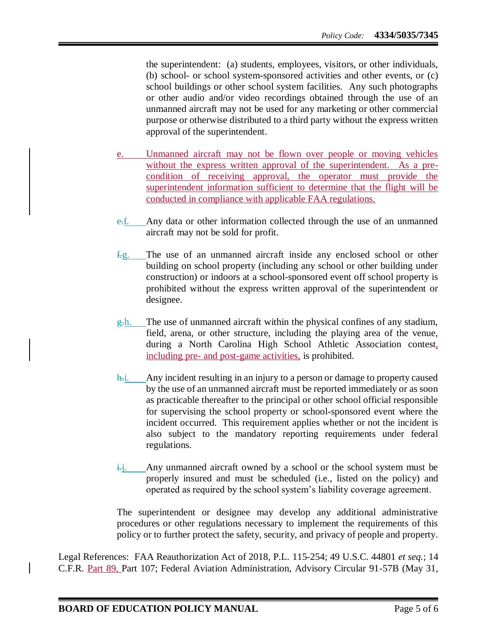the superintendent: (a) students, employees, visitors, or other individuals, (b) school- or school system-sponsored activities and other events, or (c) school buildings or other school system facilities. Any such photographs or other audio and/or video recordings obtained through the use of an unmanned aircraft may not be used for any marketing or other commercial purpose or otherwise distributed to a third party without the express written approval of the superintendent.

- Unmanned aircraft may not be flown over people or moving vehicles without the express written approval of the superintendent. As a precondition of receiving approval, the operator must provide the superintendent information sufficient to determine that the flight will be conducted in compliance with applicable FAA regulations.
- e.f. Any data or other information collected through the use of an unmanned aircraft may not be sold for profit.
- $f.g.$  The use of an unmanned aircraft inside any enclosed school or other building on school property (including any school or other building under construction) or indoors at a school-sponsored event off school property is prohibited without the express written approval of the superintendent or designee.
- $g<sub>z</sub>$ h. The use of unmanned aircraft within the physical confines of any stadium, field, arena, or other structure, including the playing area of the venue, during a North Carolina High School Athletic Association contest, including pre- and post-game activities, is prohibited.
- h.i. Any incident resulting in an injury to a person or damage to property caused by the use of an unmanned aircraft must be reported immediately or as soon as practicable thereafter to the principal or other school official responsible for supervising the school property or school-sponsored event where the incident occurred. This requirement applies whether or not the incident is also subject to the mandatory reporting requirements under federal regulations.
- $\frac{1}{1+i}$ . Any unmanned aircraft owned by a school or the school system must be properly insured and must be scheduled (i.e., listed on the policy) and operated as required by the school system's liability coverage agreement.

The superintendent or designee may develop any additional administrative procedures or other regulations necessary to implement the requirements of this policy or to further protect the safety, security, and privacy of people and property.

Legal References: FAA Reauthorization Act of 2018, P.L. 115-254; 49 U.S.C. 44801 *et seq.*; 14 C.F.R. Part 89, Part 107; Federal Aviation Administration, Advisory Circular 91-57B (May 31,